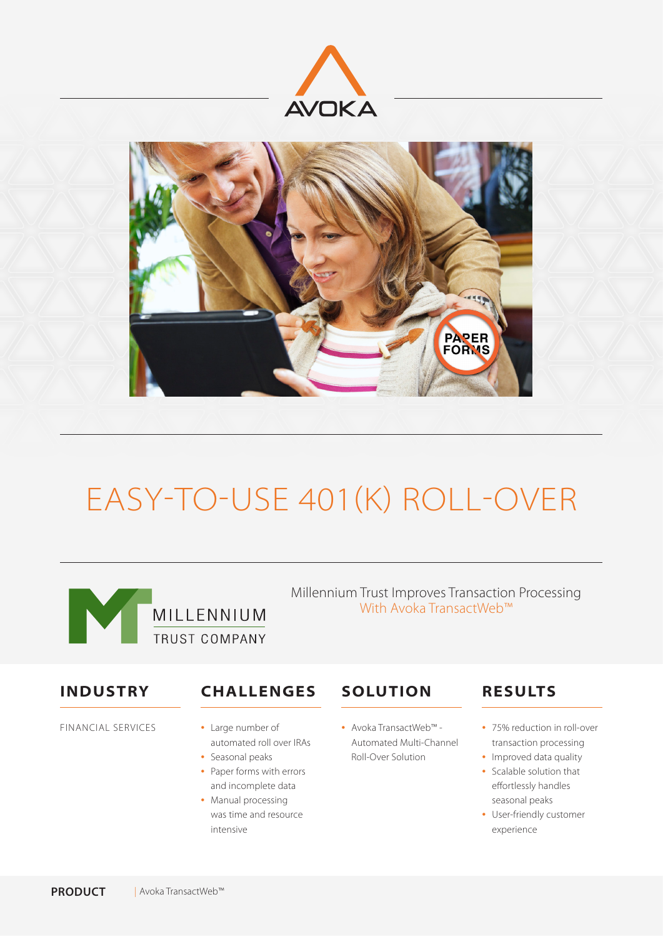



# EASY-TO-USE 401(K) ROLL-OVER



Millennium Trust Improves Transaction Processing With Avoka TransactWeb™

### **INDUSTRY**

FINANCIAL SERVICES

## **CHALLENGES**

- Large number of automated roll over IRAs
- Seasonal peaks • Paper forms with errors and incomplete data
- Manual processing was time and resource intensive

## **SOLUTION**

• Avoka TransactWeb™ - Automated Multi-Channel Roll-Over Solution

# **RESULTS**

- 75% reduction in roll-over transaction processing
- Improved data quality • Scalable solution that effortlessly handles seasonal peaks
- User-friendly customer experience